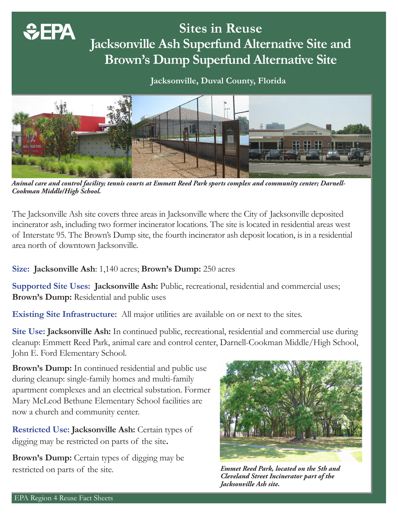# **Sites in Reuse Jacksonville Ash Superfund Alternative Site and Brown's Dump Superfund Alternative Site**

## **Jacksonville, Duval County, Florida**



*Animal care and control facility; tennis courts at Emmett Reed Park sports complex and community center; Darnell-Cookman Middle/High School.*

The Jacksonville Ash site covers three areas in Jacksonville where the City of Jacksonville deposited incinerator ash, including two former incinerator locations. The site is located in residential areas west of Interstate 95. The Brown's Dump site, the fourth incinerator ash deposit location, is in a residential area north of downtown Jacksonville.

## **Size: Jacksonville Ash**: 1,140 acres; **Brown's Dump:** 250 acres

Supported Site Uses: Jacksonville Ash: Public, recreational, residential and commercial uses; **Brown's Dump:** Residential and public uses

**Existing Site Infrastructure:** All major utilities are available on or next to the sites.

**Site Use: Jacksonville Ash:** In continued public, recreational, residential and commercial use during cleanup: Emmett Reed Park, animal care and control center, Darnell-Cookman Middle/High School, John E. Ford Elementary School.

**Brown's Dump:** In continued residential and public use during cleanup: single-family homes and multi-family apartment complexes and an electrical substation. Former Mary McLeod Bethune Elementary School facilities are now a church and community center.

**Restricted Use: Jacksonville Ash: Certain types of** digging may be restricted on parts of the site**.** 

**Brown's Dump:** Certain types of digging may be restricted on parts of the site.



*Emmet Reed Park, located on the 5th and Cleveland Street Incinerator part of the Jacksonville Ash site.* 

*<u>GEPA</u>*